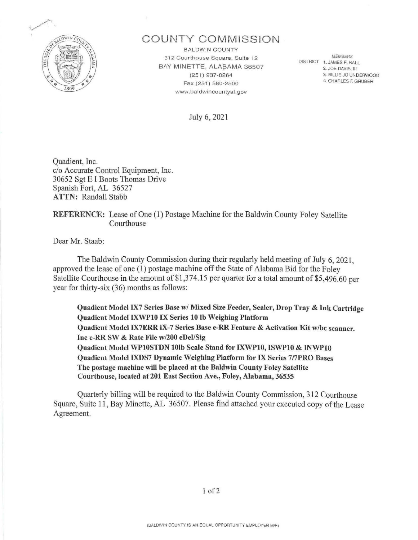

# COUNTY COMMISSION

**BALDWIN COUNTY** 312 Courthouse Square, Suite 12 BAY MINETTE, ALABAMA 36507 (251) 937-0264 Fax (251) 580-2500 www.baldwincountyal.gov

*MEMBERS*  DISTRICT 1. JAMES E. BALL 2. JOE DAVIS, Ill 3. BILLIE JO UNDERWOOD

4 CHARLES F. GRUBER

July 6, 2021

Quadient, Inc. c/o Accurate Control Equipment, Inc. 30652 Sgt EI Boots Thomas Drive Spanish Fort, AL 36527 ATTN: Randall Stabb

## REFERENCE: Lease of One (1) Postage Machine for the Baldwin County Foley Satellite Courthouse

Dear Mr. Staab:

The Baldwin County Commission during their regularly held meeting of July 6, 2021, approved the lease of one (1) postage machine off the State of Alabama Bid for the Foley Satellite Courthouse in the amount of  $$1,374.15$  per quarter for a total amount of  $$5,496.60$  per year for thirty-six (36) months as follows:

Quadient Model IX7 Series Base w/ Mixed Size Feeder, Sealer, Drop Tray & Ink Cartridge Quadient Model IXWPlO IX Series 10 lb Weighing Platform Quadient Model IX7ERR iX-7 Series Base e-RR Feature & Activation Kit w/bc scanner. Inc e-RR SW & Rate File w/200 eDel/Sig Quadient Model WP10STDN 10lb Scale Stand for IXWP10, ISWP10 & INWP10 Quadient Model IXDS7 Dynamic Weighing Platform for IX Series 7/7PRO Bases The postage machine will be placed at the Baldwin County Foley Satellite Courthouse, located at 201 East Section Ave., Foley, Alabama, 36535

Quarterly billing will be required to the Baldwin County Commission, 312 Courthouse Square, Suite 11 , Bay Minette, AL 36507. Please find attached your executed copy of the Lease Agreement.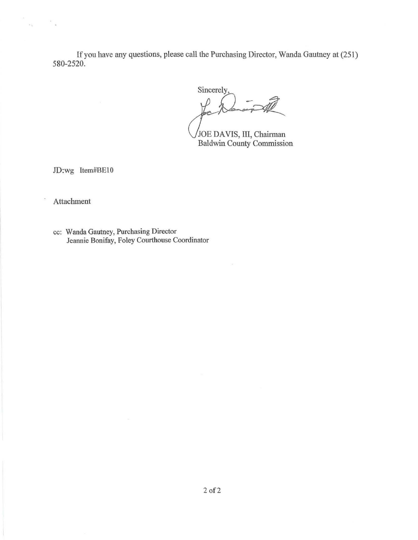If you have any questions, please call the Purchasing Director, Wanda Gautney at (251) 580-2520.

Sincerely

THE VIS CONSERVERT PRODUCED A VIS, III, Chairman Baldwin County Commission

JD:wg Item#BE10

**Attachment** 

 $\frac{1}{2}$  ,  $\frac{1}{2}$  ,  $\frac{1}{2}$  ,  $\frac{1}{2}$  ,  $\frac{1}{2}$ 

cc: Wanda Gautney, Purchasing Director Jeannie Bonifay, Foley Courthouse Coordinator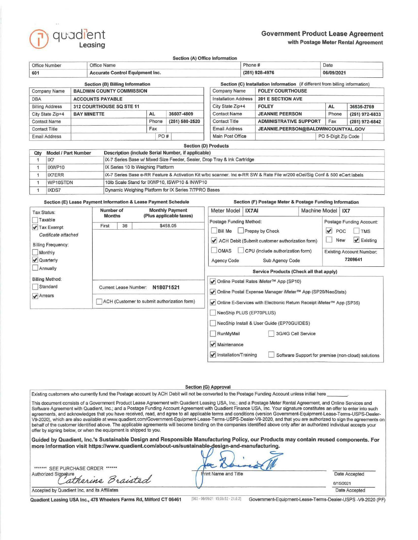

## **Government Product Lease Agreement**  with Postage Meter Rental Agreement

Section (A) Office Information

| Office Number                                           |                                                               | Office Name                                                                                                                 |                                                                          |                                              |                |                                                         | Phone #                 |                                                                              | Date                |                |  |
|---------------------------------------------------------|---------------------------------------------------------------|-----------------------------------------------------------------------------------------------------------------------------|--------------------------------------------------------------------------|----------------------------------------------|----------------|---------------------------------------------------------|-------------------------|------------------------------------------------------------------------------|---------------------|----------------|--|
| <b>Accurate Control Equipment Inc.</b><br>601           |                                                               |                                                                                                                             |                                                                          |                                              |                |                                                         | (251) 928-4976          |                                                                              | 06/09/2021          |                |  |
|                                                         |                                                               |                                                                                                                             | <b>Section (B) Billing Information</b>                                   |                                              |                |                                                         |                         | Section (C) Installation Information (if different from billing information) |                     |                |  |
| <b>BALDWIN COUNTY COMMISSION</b><br><b>Company Name</b> |                                                               |                                                                                                                             |                                                                          |                                              | Company Name   |                                                         | <b>FOLEY COURTHOUSE</b> |                                                                              |                     |                |  |
| <b>DBA</b><br><b>ACCOUNTS PAYABLE</b>                   |                                                               |                                                                                                                             |                                                                          |                                              |                | <b>Installation Address</b><br><b>201 E SECTION AVE</b> |                         |                                                                              |                     |                |  |
|                                                         | <b>Billing Address</b><br>312 COURTHOUSE SQ STE 11            |                                                                                                                             |                                                                          | City State Zip+4                             |                | <b>FOLEY</b>                                            | <b>AL</b>               | 36535-2769                                                                   |                     |                |  |
| City State Zip+4                                        |                                                               | <b>BAY MINETTE</b>                                                                                                          |                                                                          | <b>AL</b>                                    | 36507-4809     | <b>Contact Name</b>                                     |                         | <b>JEANNIE PEERSON</b>                                                       | Phone               | (251) 972-6833 |  |
| <b>Contact Name</b>                                     |                                                               |                                                                                                                             |                                                                          | Phone                                        | (251) 580-2520 | <b>Contact Title</b>                                    |                         | <b>ADMINISTRATIVE SUPPORT</b>                                                | Fax                 | (251) 972-6842 |  |
| <b>Contact Title</b>                                    |                                                               |                                                                                                                             | Fax                                                                      |                                              |                | <b>Email Address</b>                                    |                         | JEANNIE.PEERSON@BALDWINCOUNTYAL.GOV                                          |                     |                |  |
| <b>Email Address</b>                                    |                                                               |                                                                                                                             |                                                                          |                                              | PO#            | Main Post Office                                        |                         |                                                                              | PO 5-Digit Zip Code |                |  |
|                                                         |                                                               |                                                                                                                             |                                                                          |                                              |                | <b>Section (D) Products</b>                             |                         |                                                                              |                     |                |  |
| Qty                                                     |                                                               | Description (include Serial Number, if applicable)<br><b>Model / Part Number</b>                                            |                                                                          |                                              |                |                                                         |                         |                                                                              |                     |                |  |
|                                                         | IX7                                                           |                                                                                                                             | iX-7 Series Base w/ Mixed Size Feeder, Sealer, Drop Tray & Ink Cartridge |                                              |                |                                                         |                         |                                                                              |                     |                |  |
| 1                                                       | IXWP10                                                        |                                                                                                                             | IX Series 10 Ib Weighing Platform                                        |                                              |                |                                                         |                         |                                                                              |                     |                |  |
| 1                                                       | IX7ERR                                                        | iX-7 Series Base e-RR Feature & Activation Kit w/bc scanner. Inc e-RR SW & Rate File w/200 eDel/Sig Conf & 500 eCert labels |                                                                          |                                              |                |                                                         |                         |                                                                              |                     |                |  |
| 1                                                       | WP10STDN                                                      |                                                                                                                             |                                                                          | 10lb Scale Stand for IXWP10, ISWP10 & INWP10 |                |                                                         |                         |                                                                              |                     |                |  |
|                                                         | Dynamic Weighing Platform for IX Series 7/7PRO Bases<br>IXDS7 |                                                                                                                             |                                                                          |                                              |                |                                                         |                         |                                                                              |                     |                |  |

Section (E) Lease Payment Information & Lease Payment Schedule Section (F) Postage Meter & Postage Funding Information

D Software Support for premise (non-cloud) solutions

| Tax Status:                                                                                                        | Number of<br><b>Months</b> | <b>Monthly Payment</b><br>(Plus applicable taxes)        | Meter Model                                                                                                                                                                                                                 | IX7AI                                                                                                 | Machine Model                                                                                                                      |  | IX7 |
|--------------------------------------------------------------------------------------------------------------------|----------------------------|----------------------------------------------------------|-----------------------------------------------------------------------------------------------------------------------------------------------------------------------------------------------------------------------------|-------------------------------------------------------------------------------------------------------|------------------------------------------------------------------------------------------------------------------------------------|--|-----|
| Taxable<br>✔ Tax Exempt<br>Certificate attached<br><b>Billing Frequency:</b><br>Monthly<br>✔ Quarterly<br>Annually | 36<br>First                | \$458.05                                                 | Postage Funding Method:<br><b>Bill Me</b><br>Prepay by Check<br><b>OMAS</b><br>Agency Code                                                                                                                                  | ACH Debit (Submit customer authorization form)<br>CPU (include authorization form)<br>Sub Agency Code | Postage Funding Account:<br>V<br>POC<br>TMS<br>$\blacktriangleright$ Existing<br>New<br><b>Existing Account Number:</b><br>7209641 |  |     |
| <b>Billing Method:</b><br>Standard<br>$\blacktriangleright$ Arrears                                                | Current Lease Number:      | N18071521<br>ACH (Customer to submit authorization form) | Service Products (Check all that apply)<br>√ Online Postal Rates iMeter™ App (SP10)<br>√ Online Postal Expense Manager iMeter™ App (SP20/NeoStats)<br>√ Online E-Services with Electronic Return Receipt iMeter™ App (SP35) |                                                                                                       |                                                                                                                                    |  |     |
|                                                                                                                    |                            |                                                          | RunMyMail<br>$\blacktriangleright$ Maintenance                                                                                                                                                                              | NeoShip PLUS (EP70PLUS)<br>NeoShip Install & User Guide (EP70GUIDES)                                  | 3G/4G Cell Service                                                                                                                 |  |     |

#### Section (G) Approval

 $\blacktriangleright$  Installation/Training

Existing customers who currently fund the Postage account by ACH Debit will not be converted to the Postage Funding Account unless initial here

This document consists of a Government Product Lease Agreement with Quadient Leasing USA, Inc.; and a Postage Meter Rental Agreement, and Online Services and Software Agreement with Quadient, Inc.; and a Postage Funding Account Agreement with Quadient Finance USA, Inc. Your signature constitutes an offer to enter into such agreements, and acknowledges that you have received, read, and agree to all applicable terms and conditions (version Govemment-Equipment-Lease-Terms-USPS-Dealer-V9-2020), which are also available at www.quadient.com/Government-Equipment-Lease-Terms-USPS-Dealer-V9-2020, and that you are authorized to sign the agreements on behalf of the customer identified above. The applicable agreements will become binding on the companies identified above only after an authorized individual accepts your offer by signing below, or when the equipment is shipped to you.

Guided by Quadient, lnc.'s Sustainable Design and Responsible Manufacturing Policy, our Products may contain reused components. For more Information visit https://www.quadient.com/about-us/sustainable-design-and-manufacturing.

| ******* SEE PURCHASE ORDER ******            |                             |               |
|----------------------------------------------|-----------------------------|---------------|
| Authorized Signature                         | <b>Print Name and Title</b> | Date Accepted |
| atherine Braisted                            |                             | 6/15/2021     |
| Accepted by Quadient Inc. and its Affiliates |                             | Date Accepted |

Quadient Leasing USA Inc., 478 Wheelers Farms Rd, Milford CT 06461

1563 • 06109121 15 5652 · 21621 Government-Equipment-Lease-Terms-Dealer-USPS -V9-2020 (PF)